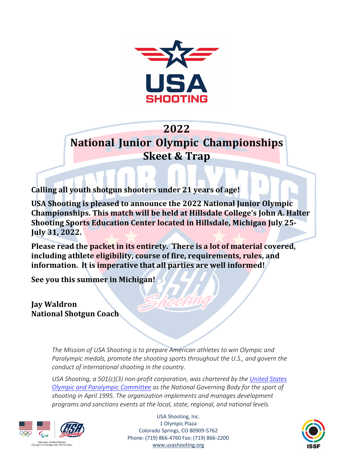

## **2022**

**National Junior Olympic Championships Skeet & Trap**

**Calling all youth shotgun shooters under 21 years of age!**

USA Shooting is pleased to announce the 2022 National Junior Olympic **Championships. This match will be held at Hillsdale College's John A. Halter Shooting Sports Education Center located in Hillsdale, Michigan July 25-July 31, 2022.**

**Please read the packet in its entirety. There is a lot of material covered, including athlete eligibility, course of fire, requirements, rules, and information. It is imperative that all parties are well informed!**

**See you this summer in Michigan!**

**Jay Waldron National Shotgun Coach**

> *The Mission of USA Shooting is to prepare American athletes to win Olympic and Paralympic medals, promote the shooting sports throughout the U.S., and govern the conduct of international shooting in the country.*

> *USA Shooting, a 501(c)(3) non-profit corporation, was chartered by the United States Olympic and Paralympic Committee as the National Governing Body for the sport of shooting in April 1995. The organization implements and manages development programs and sanctions events at the local, state, regional, and national levels.*



USA Shooting, Inc. 1 Olympic Plaza Colorado Springs, CO 80909-5762 Phone: (719) 866-4760 Fax: (719) 866-2200 www.usashooting.org

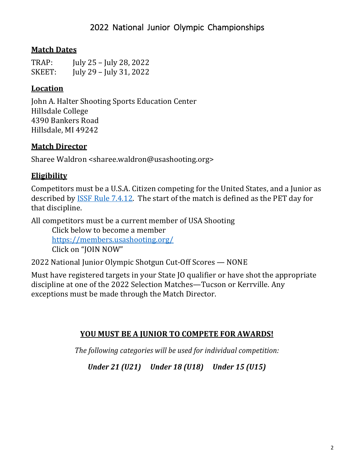## **Match Dates**

| TRAP:  | July 25 – July 28, 2022 |
|--------|-------------------------|
| SKEET: | July 29 – July 31, 2022 |

## **Location**

John A. Halter Shooting Sports Education Center Hillsdale College 4390 Bankers Road Hillsdale, MI 49242

## **Match Director**

Sharee Waldron <sharee.waldron@usashooting.org>

## **Eligibility**

Competitors must be a U.S.A. Citizen competing for the United States, and a Junior as described by ISSF Rule 7.4.12. The start of the match is defined as the PET day for that discipline.

All competitors must be a current member of USA Shooting Click below to become a member https://members.usashooting.org/ Click on "JOIN NOW"

2022 National Junior Olympic Shotgun Cut-Off Scores - NONE

Must have registered targets in your State IO qualifier or have shot the appropriate discipline at one of the 2022 Selection Matches—Tucson or Kerrville. Any exceptions must be made through the Match Director.

### **YOU MUST BE A JUNIOR TO COMPETE FOR AWARDS!**

*The following categories will be used for individual competition:* 

*Under 21 (U21) Under 18 (U18) Under 15 (U15)*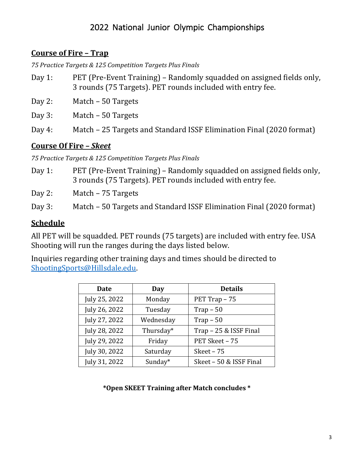## 2022 National Junior Olympic Championships

#### **Course of Fire – Trap**

*75 Practice Targets & 125 Competition Targets Plus Finals*

- Day 1: PET (Pre-Event Training) Randomly squadded on assigned fields only, 3 rounds (75 Targets). PET rounds included with entry fee.
- Day 2: Match 50 Targets
- Day 3: Match 50 Targets
- Day 4: Match 25 Targets and Standard ISSF Elimination Final (2020 format)

#### **Course Of Fire –** *Skeet*

*75 Practice Targets & 125 Competition Targets Plus Finals*

Day 1: PET (Pre-Event Training) – Randomly squadded on assigned fields only, 3 rounds (75 Targets). PET rounds included with entry fee.

Day 2: Match – 75 Targets

Day 3: Match – 50 Targets and Standard ISSF Elimination Final (2020 format)

#### **Schedule**

All PET will be squadded. PET rounds (75 targets) are included with entry fee. USA Shooting will run the ranges during the days listed below.

Inquiries regarding other training days and times should be directed to ShootingSports@Hillsdale.edu. 

| <b>Date</b>   | Day       | <b>Details</b>          |
|---------------|-----------|-------------------------|
| July 25, 2022 | Monday    | PET Trap - 75           |
| July 26, 2022 | Tuesday   | $Trap - 50$             |
| July 27, 2022 | Wednesday | $Trap - 50$             |
| July 28, 2022 | Thursday* | Trap - 25 & ISSF Final  |
| July 29, 2022 | Friday    | PET Skeet - 75          |
| July 30, 2022 | Saturday  | Skeet $-75$             |
| July 31, 2022 | Sunday*   | Skeet - 50 & ISSF Final |

#### **\*Open SKEET Training after Match concludes \***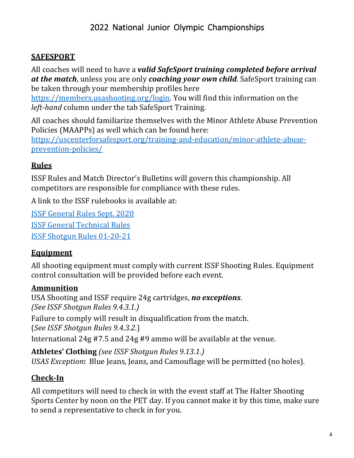### **SAFESPORT**

All coaches will need to have a **valid SafeSport training completed before arrival** *at the match*, unless you are only *coaching your own child*. SafeSport training can be taken through your membership profiles here

https://members.usashooting.org/login. You will find this information on the *left-hand* column under the tab SafeSport Training.

All coaches should familiarize themselves with the Minor Athlete Abuse Prevention Policies (MAAPPs) as well which can be found here:

https://uscenterforsafesport.org/training-and-education/minor-athlete-abuseprevention-policies/

## **Rules**

ISSF Rules and Match Director's Bulletins will govern this championship. All competitors are responsible for compliance with these rules.

A link to the ISSF rulebooks is available at:

ISSF General Rules Sept. 2020 ISSF General Technical Rules ISSF Shotgun Rules 01-20-21

### **Equipment**

All shooting equipment must comply with current ISSF Shooting Rules. Equipment control consultation will be provided before each event.

### **Ammunition**

USA Shooting and ISSF require 24g cartridges, *no exceptions*. *(See ISSF Shotgun Rules 9.4.3.1.)*

Failure to comply will result in disqualification from the match.

(*See ISSF Shotgun Rules 9.4.3.2.*)

International  $24g$  #7.5 and  $24g$  #9 ammo will be available at the venue.

**Athletes' Clothing** *(see ISSF Shotgun Rules 9.13.1.) USAS Exception*: Blue Jeans, Jeans, and Camouflage will be permitted (no holes).

## **Check-In**

All competitors will need to check in with the event staff at The Halter Shooting Sports Center by noon on the PET day. If you cannot make it by this time, make sure to send a representative to check in for you.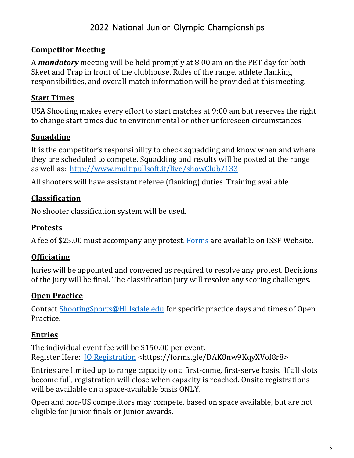# 2022 National Junior Olympic Championships

#### **Competitor Meeting**

A **mandatory** meeting will be held promptly at 8:00 am on the PET day for both Skeet and Trap in front of the clubhouse. Rules of the range, athlete flanking responsibilities, and overall match information will be provided at this meeting.

#### **Start Times**

USA Shooting makes every effort to start matches at 9:00 am but reserves the right to change start times due to environmental or other unforeseen circumstances.

### **Squadding**

It is the competitor's responsibility to check squadding and know when and where they are scheduled to compete. Squadding and results will be posted at the range as well as: http://www.multipullsoft.it/live/showClub/133

All shooters will have assistant referee (flanking) duties. Training available.

### **Classification**

No shooter classification system will be used.

### **Protests**

A fee of \$25.00 must accompany any protest. Forms are available on ISSF Website.

### **Officiating**

Juries will be appointed and convened as required to resolve any protest. Decisions of the jury will be final. The classification jury will resolve any scoring challenges.

### **Open Practice**

Contact ShootingSports@Hillsdale.edu for specific practice days and times of Open Practice.

### **Entries**

The individual event fee will be \$150.00 per event. Register Here: *JO Registration* <https://forms.gle/DAK8nw9KqyXVof8r8>

Entries are limited up to range capacity on a first-come, first-serve basis. If all slots become full, registration will close when capacity is reached. Onsite registrations will be available on a space-available basis ONLY.

Open and non-US competitors may compete, based on space available, but are not eligible for Junior finals or Junior awards.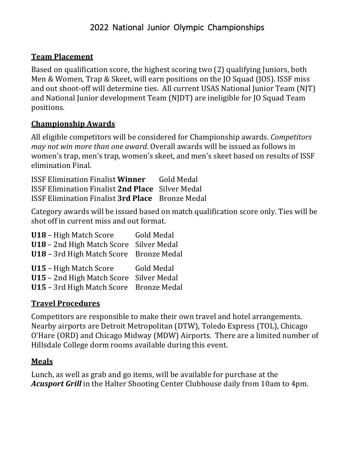### **Team Placement**

Based on qualification score, the highest scoring two (2) qualifying Juniors, both Men & Women, Trap & Skeet, will earn positions on the [O Squad (JOS). ISSF miss and out shoot-off will determine ties. All current USAS National Junior Team (NJT) and National Junior development Team (NJDT) are ineligible for JO Squad Team positions.

### **Championship Awards**

All eligible competitors will be considered for Championship awards. *Competitors may not win more than one award*. Overall awards will be issued as follows in women's trap, men's trap, women's skeet, and men's skeet based on results of ISSF elimination Final.

ISSF Elimination Finalist **Winner** Gold Medal ISSF Elimination Finalist **2nd Place** Silver Medal ISSF Elimination Finalist **3rd Place** Bronze Medal

Category awards will be issued based on match qualification score only. Ties will be shot off in current miss and out format.

| U18 - High Match Score                  | Gold Medal |
|-----------------------------------------|------------|
| U18 - 2nd High Match Score Silver Medal |            |
| U18 - 3rd High Match Score Bronze Medal |            |
|                                         |            |
| U15 - High Match Score                  | Gold Medal |
| U15 - 2nd High Match Score Silver Medal |            |

### **Travel Procedures**

Competitors are responsible to make their own travel and hotel arrangements. Nearby airports are Detroit Metropolitan (DTW), Toledo Express (TOL), Chicago O'Hare (ORD) and Chicago Midway (MDW) Airports. There are a limited number of Hillsdale College dorm rooms available during this event.

### **Meals**

Lunch, as well as grab and go items, will be available for purchase at the Acusport Grill in the Halter Shooting Center Clubhouse daily from 10am to 4pm.